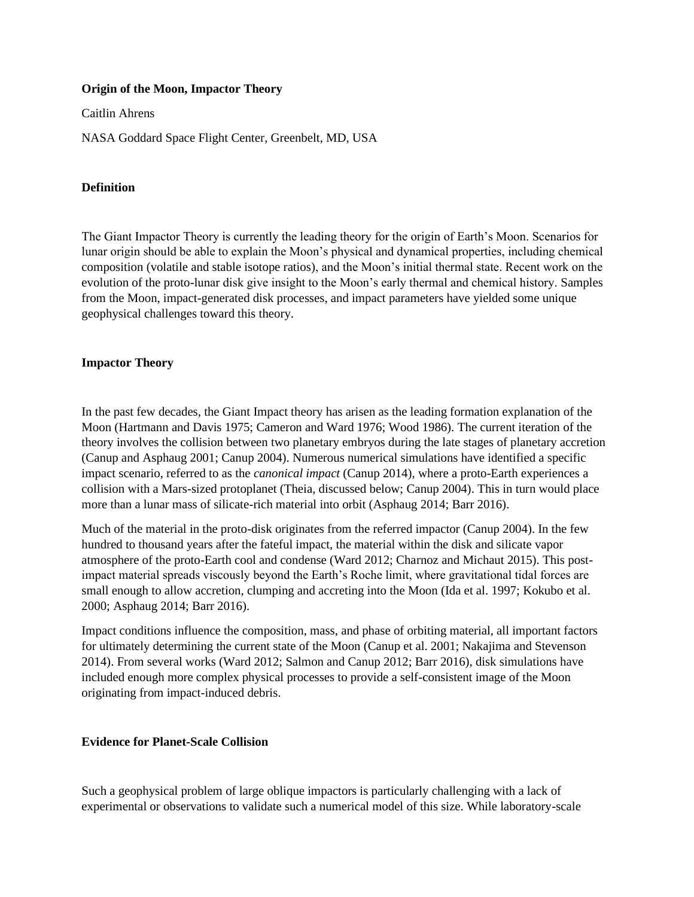#### **Origin of the Moon, Impactor Theory**

Caitlin Ahrens

NASA Goddard Space Flight Center, Greenbelt, MD, USA

# **Definition**

The Giant Impactor Theory is currently the leading theory for the origin of Earth's Moon. Scenarios for lunar origin should be able to explain the Moon's physical and dynamical properties, including chemical composition (volatile and stable isotope ratios), and the Moon's initial thermal state. Recent work on the evolution of the proto-lunar disk give insight to the Moon's early thermal and chemical history. Samples from the Moon, impact-generated disk processes, and impact parameters have yielded some unique geophysical challenges toward this theory.

# **Impactor Theory**

In the past few decades, the Giant Impact theory has arisen as the leading formation explanation of the Moon (Hartmann and Davis 1975; Cameron and Ward 1976; Wood 1986). The current iteration of the theory involves the collision between two planetary embryos during the late stages of planetary accretion (Canup and Asphaug 2001; Canup 2004). Numerous numerical simulations have identified a specific impact scenario, referred to as the *canonical impact* (Canup 2014), where a proto-Earth experiences a collision with a Mars-sized protoplanet (Theia, discussed below; Canup 2004). This in turn would place more than a lunar mass of silicate-rich material into orbit (Asphaug 2014; Barr 2016).

Much of the material in the proto-disk originates from the referred impactor (Canup 2004). In the few hundred to thousand years after the fateful impact, the material within the disk and silicate vapor atmosphere of the proto-Earth cool and condense (Ward 2012; Charnoz and Michaut 2015). This postimpact material spreads viscously beyond the Earth's Roche limit, where gravitational tidal forces are small enough to allow accretion, clumping and accreting into the Moon (Ida et al. 1997; Kokubo et al. 2000; Asphaug 2014; Barr 2016).

Impact conditions influence the composition, mass, and phase of orbiting material, all important factors for ultimately determining the current state of the Moon (Canup et al. 2001; Nakajima and Stevenson 2014). From several works (Ward 2012; Salmon and Canup 2012; Barr 2016), disk simulations have included enough more complex physical processes to provide a self-consistent image of the Moon originating from impact-induced debris.

# **Evidence for Planet-Scale Collision**

Such a geophysical problem of large oblique impactors is particularly challenging with a lack of experimental or observations to validate such a numerical model of this size. While laboratory-scale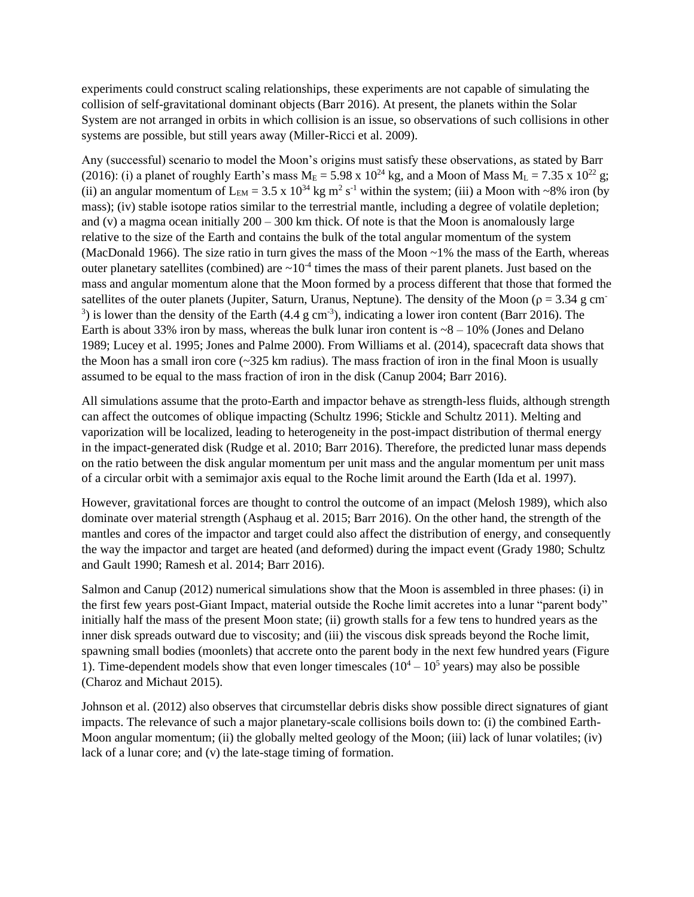experiments could construct scaling relationships, these experiments are not capable of simulating the collision of self-gravitational dominant objects (Barr 2016). At present, the planets within the Solar System are not arranged in orbits in which collision is an issue, so observations of such collisions in other systems are possible, but still years away (Miller-Ricci et al. 2009).

Any (successful) scenario to model the Moon's origins must satisfy these observations, as stated by Barr (2016): (i) a planet of roughly Earth's mass  $M_E = 5.98 \times 10^{24}$  kg, and a Moon of Mass  $M_L = 7.35 \times 10^{22}$  g; (ii) an angular momentum of  $L_{EM} = 3.5 \times 10^{34}$  kg m<sup>2</sup> s<sup>-1</sup> within the system; (iii) a Moon with ~8% iron (by mass); (iv) stable isotope ratios similar to the terrestrial mantle, including a degree of volatile depletion; and (v) a magma ocean initially  $200 - 300$  km thick. Of note is that the Moon is anomalously large relative to the size of the Earth and contains the bulk of the total angular momentum of the system (MacDonald 1966). The size ratio in turn gives the mass of the Moon ~1% the mass of the Earth, whereas outer planetary satellites (combined) are  $\sim 10^{-4}$  times the mass of their parent planets. Just based on the mass and angular momentum alone that the Moon formed by a process different that those that formed the satellites of the outer planets (Jupiter, Saturn, Uranus, Neptune). The density of the Moon ( $\rho = 3.34$  g cm<sup>-</sup> <sup>3</sup>) is lower than the density of the Earth (4.4 g cm<sup>-3</sup>), indicating a lower iron content (Barr 2016). The Earth is about 33% iron by mass, whereas the bulk lunar iron content is  $\sim 8 - 10\%$  (Jones and Delano 1989; Lucey et al. 1995; Jones and Palme 2000). From Williams et al. (2014), spacecraft data shows that the Moon has a small iron core  $\left(\sim 325 \text{ km} \text{ radius}\right)$ . The mass fraction of iron in the final Moon is usually assumed to be equal to the mass fraction of iron in the disk (Canup 2004; Barr 2016).

All simulations assume that the proto-Earth and impactor behave as strength-less fluids, although strength can affect the outcomes of oblique impacting (Schultz 1996; Stickle and Schultz 2011). Melting and vaporization will be localized, leading to heterogeneity in the post-impact distribution of thermal energy in the impact-generated disk (Rudge et al. 2010; Barr 2016). Therefore, the predicted lunar mass depends on the ratio between the disk angular momentum per unit mass and the angular momentum per unit mass of a circular orbit with a semimajor axis equal to the Roche limit around the Earth (Ida et al. 1997).

However, gravitational forces are thought to control the outcome of an impact (Melosh 1989), which also dominate over material strength (Asphaug et al. 2015; Barr 2016). On the other hand, the strength of the mantles and cores of the impactor and target could also affect the distribution of energy, and consequently the way the impactor and target are heated (and deformed) during the impact event (Grady 1980; Schultz and Gault 1990; Ramesh et al. 2014; Barr 2016).

Salmon and Canup (2012) numerical simulations show that the Moon is assembled in three phases: (i) in the first few years post-Giant Impact, material outside the Roche limit accretes into a lunar "parent body" initially half the mass of the present Moon state; (ii) growth stalls for a few tens to hundred years as the inner disk spreads outward due to viscosity; and (iii) the viscous disk spreads beyond the Roche limit, spawning small bodies (moonlets) that accrete onto the parent body in the next few hundred years (Figure 1). Time-dependent models show that even longer timescales  $(10^4 – 10^5$  years) may also be possible (Charoz and Michaut 2015).

Johnson et al. (2012) also observes that circumstellar debris disks show possible direct signatures of giant impacts. The relevance of such a major planetary-scale collisions boils down to: (i) the combined Earth-Moon angular momentum; (ii) the globally melted geology of the Moon; (iii) lack of lunar volatiles; (iv) lack of a lunar core; and (v) the late-stage timing of formation.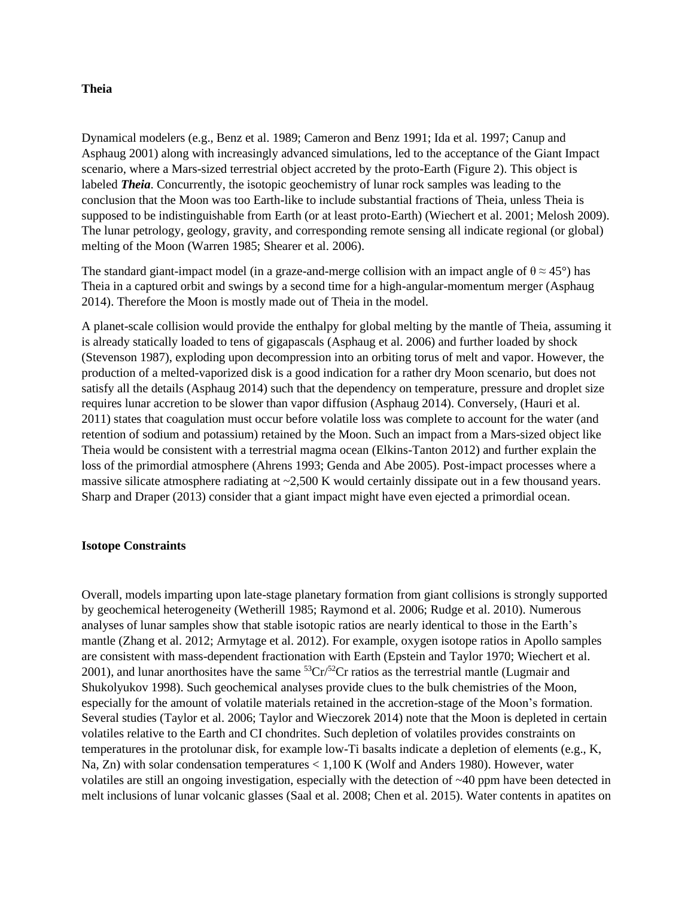#### **Theia**

Dynamical modelers (e.g., Benz et al. 1989; Cameron and Benz 1991; Ida et al. 1997; Canup and Asphaug 2001) along with increasingly advanced simulations, led to the acceptance of the Giant Impact scenario, where a Mars-sized terrestrial object accreted by the proto-Earth (Figure 2). This object is labeled *Theia*. Concurrently, the isotopic geochemistry of lunar rock samples was leading to the conclusion that the Moon was too Earth-like to include substantial fractions of Theia, unless Theia is supposed to be indistinguishable from Earth (or at least proto-Earth) (Wiechert et al. 2001; Melosh 2009). The lunar petrology, geology, gravity, and corresponding remote sensing all indicate regional (or global) melting of the Moon (Warren 1985; Shearer et al. 2006).

The standard giant-impact model (in a graze-and-merge collision with an impact angle of  $\theta \approx 45^{\circ}$ ) has Theia in a captured orbit and swings by a second time for a high-angular-momentum merger (Asphaug 2014). Therefore the Moon is mostly made out of Theia in the model.

A planet-scale collision would provide the enthalpy for global melting by the mantle of Theia, assuming it is already statically loaded to tens of gigapascals (Asphaug et al. 2006) and further loaded by shock (Stevenson 1987), exploding upon decompression into an orbiting torus of melt and vapor. However, the production of a melted-vaporized disk is a good indication for a rather dry Moon scenario, but does not satisfy all the details (Asphaug 2014) such that the dependency on temperature, pressure and droplet size requires lunar accretion to be slower than vapor diffusion (Asphaug 2014). Conversely, (Hauri et al. 2011) states that coagulation must occur before volatile loss was complete to account for the water (and retention of sodium and potassium) retained by the Moon. Such an impact from a Mars-sized object like Theia would be consistent with a terrestrial magma ocean (Elkins-Tanton 2012) and further explain the loss of the primordial atmosphere (Ahrens 1993; Genda and Abe 2005). Post-impact processes where a massive silicate atmosphere radiating at  $\sim$  2,500 K would certainly dissipate out in a few thousand years. Sharp and Draper (2013) consider that a giant impact might have even ejected a primordial ocean.

#### **Isotope Constraints**

Overall, models imparting upon late-stage planetary formation from giant collisions is strongly supported by geochemical heterogeneity (Wetherill 1985; Raymond et al. 2006; Rudge et al. 2010). Numerous analyses of lunar samples show that stable isotopic ratios are nearly identical to those in the Earth's mantle (Zhang et al. 2012; Armytage et al. 2012). For example, oxygen isotope ratios in Apollo samples are consistent with mass-dependent fractionation with Earth (Epstein and Taylor 1970; Wiechert et al. 2001), and lunar anorthosites have the same  ${}^{53}Cr/{}^{52}Cr$  ratios as the terrestrial mantle (Lugmair and Shukolyukov 1998). Such geochemical analyses provide clues to the bulk chemistries of the Moon, especially for the amount of volatile materials retained in the accretion-stage of the Moon's formation. Several studies (Taylor et al. 2006; Taylor and Wieczorek 2014) note that the Moon is depleted in certain volatiles relative to the Earth and CI chondrites. Such depletion of volatiles provides constraints on temperatures in the protolunar disk, for example low-Ti basalts indicate a depletion of elements (e.g., K, Na, Zn) with solar condensation temperatures < 1,100 K (Wolf and Anders 1980). However, water volatiles are still an ongoing investigation, especially with the detection of ~40 ppm have been detected in melt inclusions of lunar volcanic glasses (Saal et al. 2008; Chen et al. 2015). Water contents in apatites on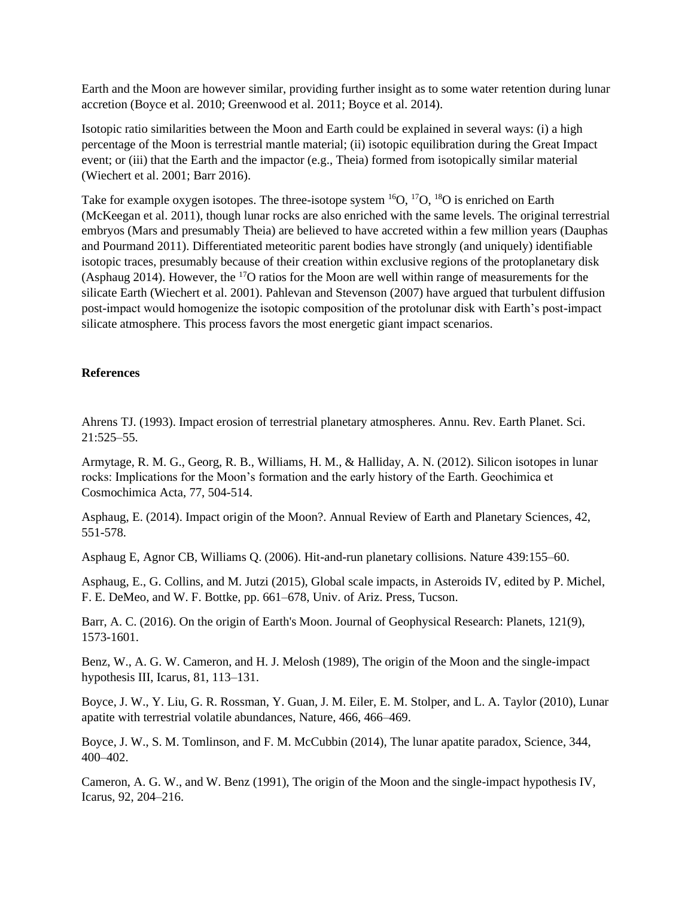Earth and the Moon are however similar, providing further insight as to some water retention during lunar accretion (Boyce et al. 2010; Greenwood et al. 2011; Boyce et al. 2014).

Isotopic ratio similarities between the Moon and Earth could be explained in several ways: (i) a high percentage of the Moon is terrestrial mantle material; (ii) isotopic equilibration during the Great Impact event; or (iii) that the Earth and the impactor (e.g., Theia) formed from isotopically similar material (Wiechert et al. 2001; Barr 2016).

Take for example oxygen isotopes. The three-isotope system  ${}^{16}O$ ,  ${}^{17}O$ ,  ${}^{18}O$  is enriched on Earth (McKeegan et al. 2011), though lunar rocks are also enriched with the same levels. The original terrestrial embryos (Mars and presumably Theia) are believed to have accreted within a few million years (Dauphas and Pourmand 2011). Differentiated meteoritic parent bodies have strongly (and uniquely) identifiable isotopic traces, presumably because of their creation within exclusive regions of the protoplanetary disk (Asphaug 2014). However, the  $^{17}O$  ratios for the Moon are well within range of measurements for the silicate Earth (Wiechert et al. 2001). Pahlevan and Stevenson (2007) have argued that turbulent diffusion post-impact would homogenize the isotopic composition of the protolunar disk with Earth's post-impact silicate atmosphere. This process favors the most energetic giant impact scenarios.

# **References**

Ahrens TJ. (1993). Impact erosion of terrestrial planetary atmospheres. Annu. Rev. Earth Planet. Sci. 21:525–55.

Armytage, R. M. G., Georg, R. B., Williams, H. M., & Halliday, A. N. (2012). Silicon isotopes in lunar rocks: Implications for the Moon's formation and the early history of the Earth. Geochimica et Cosmochimica Acta, 77, 504-514.

Asphaug, E. (2014). Impact origin of the Moon?. Annual Review of Earth and Planetary Sciences, 42, 551-578.

Asphaug E, Agnor CB, Williams Q. (2006). Hit-and-run planetary collisions. Nature 439:155–60.

Asphaug, E., G. Collins, and M. Jutzi (2015), Global scale impacts, in Asteroids IV, edited by P. Michel, F. E. DeMeo, and W. F. Bottke, pp. 661–678, Univ. of Ariz. Press, Tucson.

Barr, A. C. (2016). On the origin of Earth's Moon. Journal of Geophysical Research: Planets, 121(9), 1573-1601.

Benz, W., A. G. W. Cameron, and H. J. Melosh (1989), The origin of the Moon and the single-impact hypothesis III, Icarus, 81, 113–131.

Boyce, J. W., Y. Liu, G. R. Rossman, Y. Guan, J. M. Eiler, E. M. Stolper, and L. A. Taylor (2010), Lunar apatite with terrestrial volatile abundances, Nature, 466, 466–469.

Boyce, J. W., S. M. Tomlinson, and F. M. McCubbin (2014), The lunar apatite paradox, Science, 344, 400–402.

Cameron, A. G. W., and W. Benz (1991), The origin of the Moon and the single-impact hypothesis IV, Icarus, 92, 204–216.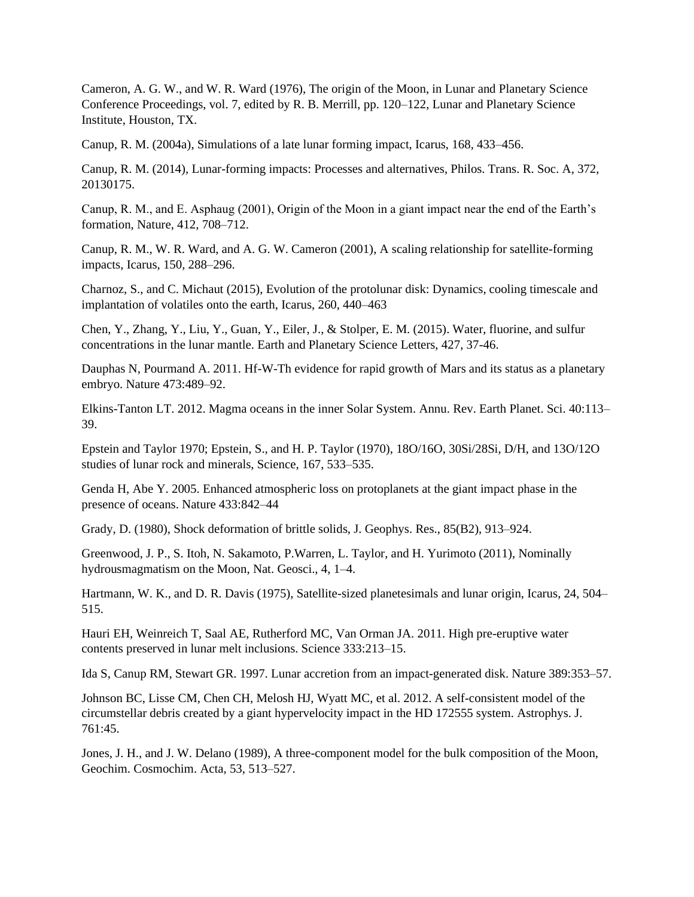Cameron, A. G. W., and W. R. Ward (1976), The origin of the Moon, in Lunar and Planetary Science Conference Proceedings, vol. 7, edited by R. B. Merrill, pp. 120–122, Lunar and Planetary Science Institute, Houston, TX.

Canup, R. M. (2004a), Simulations of a late lunar forming impact, Icarus, 168, 433–456.

Canup, R. M. (2014), Lunar-forming impacts: Processes and alternatives, Philos. Trans. R. Soc. A, 372, 20130175.

Canup, R. M., and E. Asphaug (2001), Origin of the Moon in a giant impact near the end of the Earth's formation, Nature, 412, 708–712.

Canup, R. M., W. R. Ward, and A. G. W. Cameron (2001), A scaling relationship for satellite-forming impacts, Icarus, 150, 288–296.

Charnoz, S., and C. Michaut (2015), Evolution of the protolunar disk: Dynamics, cooling timescale and implantation of volatiles onto the earth, Icarus, 260, 440–463

Chen, Y., Zhang, Y., Liu, Y., Guan, Y., Eiler, J., & Stolper, E. M. (2015). Water, fluorine, and sulfur concentrations in the lunar mantle. Earth and Planetary Science Letters, 427, 37-46.

Dauphas N, Pourmand A. 2011. Hf-W-Th evidence for rapid growth of Mars and its status as a planetary embryo. Nature 473:489–92.

Elkins-Tanton LT. 2012. Magma oceans in the inner Solar System. Annu. Rev. Earth Planet. Sci. 40:113– 39.

Epstein and Taylor 1970; Epstein, S., and H. P. Taylor (1970), 18O/16O, 30Si/28Si, D/H, and 13O/12O studies of lunar rock and minerals, Science, 167, 533–535.

Genda H, Abe Y. 2005. Enhanced atmospheric loss on protoplanets at the giant impact phase in the presence of oceans. Nature 433:842–44

Grady, D. (1980), Shock deformation of brittle solids, J. Geophys. Res., 85(B2), 913–924.

Greenwood, J. P., S. Itoh, N. Sakamoto, P.Warren, L. Taylor, and H. Yurimoto (2011), Nominally hydrousmagmatism on the Moon, Nat. Geosci., 4, 1–4.

Hartmann, W. K., and D. R. Davis (1975), Satellite-sized planetesimals and lunar origin, Icarus, 24, 504– 515.

Hauri EH, Weinreich T, Saal AE, Rutherford MC, Van Orman JA. 2011. High pre-eruptive water contents preserved in lunar melt inclusions. Science 333:213–15.

Ida S, Canup RM, Stewart GR. 1997. Lunar accretion from an impact-generated disk. Nature 389:353–57.

Johnson BC, Lisse CM, Chen CH, Melosh HJ, Wyatt MC, et al. 2012. A self-consistent model of the circumstellar debris created by a giant hypervelocity impact in the HD 172555 system. Astrophys. J. 761:45.

Jones, J. H., and J. W. Delano (1989), A three-component model for the bulk composition of the Moon, Geochim. Cosmochim. Acta, 53, 513–527.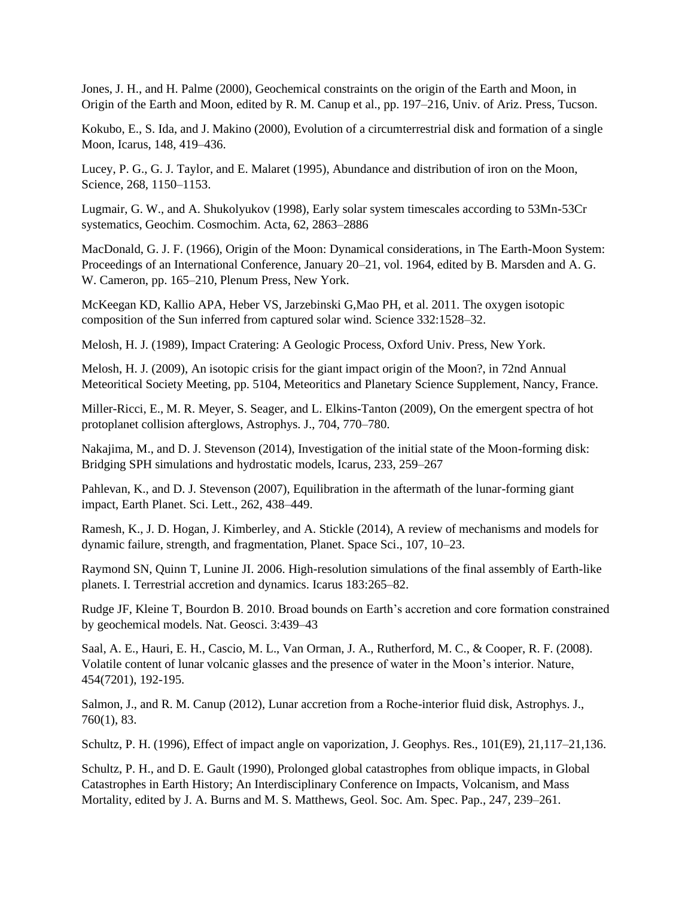Jones, J. H., and H. Palme (2000), Geochemical constraints on the origin of the Earth and Moon, in Origin of the Earth and Moon, edited by R. M. Canup et al., pp. 197–216, Univ. of Ariz. Press, Tucson.

Kokubo, E., S. Ida, and J. Makino (2000), Evolution of a circumterrestrial disk and formation of a single Moon, Icarus, 148, 419–436.

Lucey, P. G., G. J. Taylor, and E. Malaret (1995), Abundance and distribution of iron on the Moon, Science, 268, 1150–1153.

Lugmair, G. W., and A. Shukolyukov (1998), Early solar system timescales according to 53Mn-53Cr systematics, Geochim. Cosmochim. Acta, 62, 2863–2886

MacDonald, G. J. F. (1966), Origin of the Moon: Dynamical considerations, in The Earth-Moon System: Proceedings of an International Conference, January 20–21, vol. 1964, edited by B. Marsden and A. G. W. Cameron, pp. 165–210, Plenum Press, New York.

McKeegan KD, Kallio APA, Heber VS, Jarzebinski G,Mao PH, et al. 2011. The oxygen isotopic composition of the Sun inferred from captured solar wind. Science 332:1528–32.

Melosh, H. J. (1989), Impact Cratering: A Geologic Process, Oxford Univ. Press, New York.

Melosh, H. J. (2009), An isotopic crisis for the giant impact origin of the Moon?, in 72nd Annual Meteoritical Society Meeting, pp. 5104, Meteoritics and Planetary Science Supplement, Nancy, France.

Miller-Ricci, E., M. R. Meyer, S. Seager, and L. Elkins-Tanton (2009), On the emergent spectra of hot protoplanet collision afterglows, Astrophys. J., 704, 770–780.

Nakajima, M., and D. J. Stevenson (2014), Investigation of the initial state of the Moon-forming disk: Bridging SPH simulations and hydrostatic models, Icarus, 233, 259–267

Pahlevan, K., and D. J. Stevenson (2007), Equilibration in the aftermath of the lunar-forming giant impact, Earth Planet. Sci. Lett., 262, 438–449.

Ramesh, K., J. D. Hogan, J. Kimberley, and A. Stickle (2014), A review of mechanisms and models for dynamic failure, strength, and fragmentation, Planet. Space Sci., 107, 10–23.

Raymond SN, Quinn T, Lunine JI. 2006. High-resolution simulations of the final assembly of Earth-like planets. I. Terrestrial accretion and dynamics. Icarus 183:265–82.

Rudge JF, Kleine T, Bourdon B. 2010. Broad bounds on Earth's accretion and core formation constrained by geochemical models. Nat. Geosci. 3:439–43

Saal, A. E., Hauri, E. H., Cascio, M. L., Van Orman, J. A., Rutherford, M. C., & Cooper, R. F. (2008). Volatile content of lunar volcanic glasses and the presence of water in the Moon's interior. Nature, 454(7201), 192-195.

Salmon, J., and R. M. Canup (2012), Lunar accretion from a Roche-interior fluid disk, Astrophys. J., 760(1), 83.

Schultz, P. H. (1996), Effect of impact angle on vaporization, J. Geophys. Res., 101(E9), 21,117–21,136.

Schultz, P. H., and D. E. Gault (1990), Prolonged global catastrophes from oblique impacts, in Global Catastrophes in Earth History; An Interdisciplinary Conference on Impacts, Volcanism, and Mass Mortality, edited by J. A. Burns and M. S. Matthews, Geol. Soc. Am. Spec. Pap., 247, 239–261.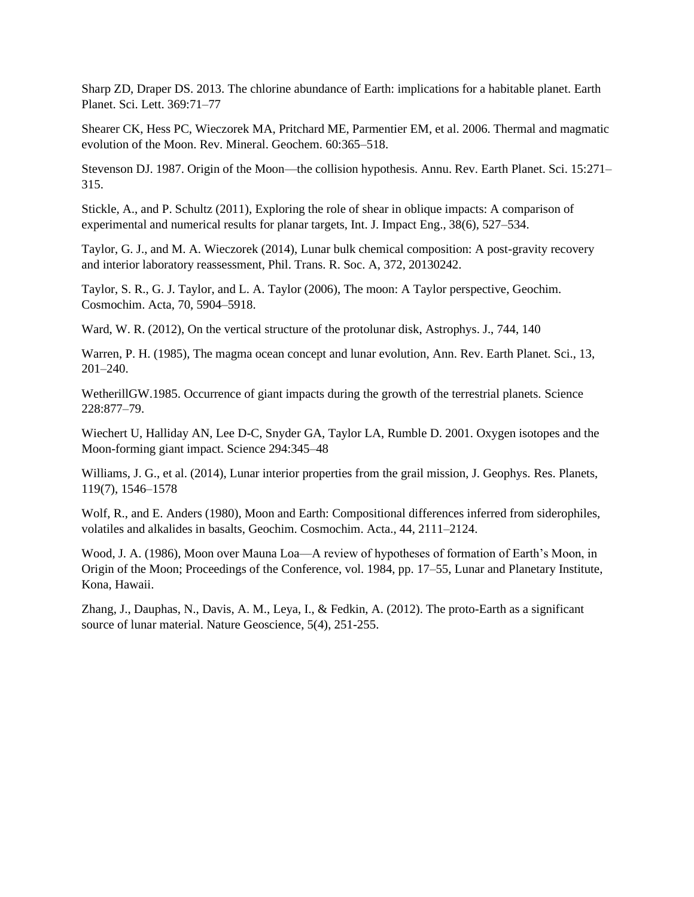Sharp ZD, Draper DS. 2013. The chlorine abundance of Earth: implications for a habitable planet. Earth Planet. Sci. Lett. 369:71–77

Shearer CK, Hess PC, Wieczorek MA, Pritchard ME, Parmentier EM, et al. 2006. Thermal and magmatic evolution of the Moon. Rev. Mineral. Geochem. 60:365–518.

Stevenson DJ. 1987. Origin of the Moon—the collision hypothesis. Annu. Rev. Earth Planet. Sci. 15:271– 315.

Stickle, A., and P. Schultz (2011), Exploring the role of shear in oblique impacts: A comparison of experimental and numerical results for planar targets, Int. J. Impact Eng., 38(6), 527–534.

Taylor, G. J., and M. A. Wieczorek (2014), Lunar bulk chemical composition: A post-gravity recovery and interior laboratory reassessment, Phil. Trans. R. Soc. A, 372, 20130242.

Taylor, S. R., G. J. Taylor, and L. A. Taylor (2006), The moon: A Taylor perspective, Geochim. Cosmochim. Acta, 70, 5904–5918.

Ward, W. R. (2012), On the vertical structure of the protolunar disk, Astrophys. J., 744, 140

Warren, P. H. (1985), The magma ocean concept and lunar evolution, Ann. Rev. Earth Planet. Sci., 13, 201–240.

WetherillGW.1985. Occurrence of giant impacts during the growth of the terrestrial planets. Science 228:877–79.

Wiechert U, Halliday AN, Lee D-C, Snyder GA, Taylor LA, Rumble D. 2001. Oxygen isotopes and the Moon-forming giant impact. Science 294:345–48

Williams, J. G., et al. (2014), Lunar interior properties from the grail mission, J. Geophys. Res. Planets, 119(7), 1546–1578

Wolf, R., and E. Anders (1980), Moon and Earth: Compositional differences inferred from siderophiles, volatiles and alkalides in basalts, Geochim. Cosmochim. Acta., 44, 2111–2124.

Wood, J. A. (1986), Moon over Mauna Loa—A review of hypotheses of formation of Earth's Moon, in Origin of the Moon; Proceedings of the Conference, vol. 1984, pp. 17–55, Lunar and Planetary Institute, Kona, Hawaii.

Zhang, J., Dauphas, N., Davis, A. M., Leya, I., & Fedkin, A. (2012). The proto-Earth as a significant source of lunar material. Nature Geoscience, 5(4), 251-255.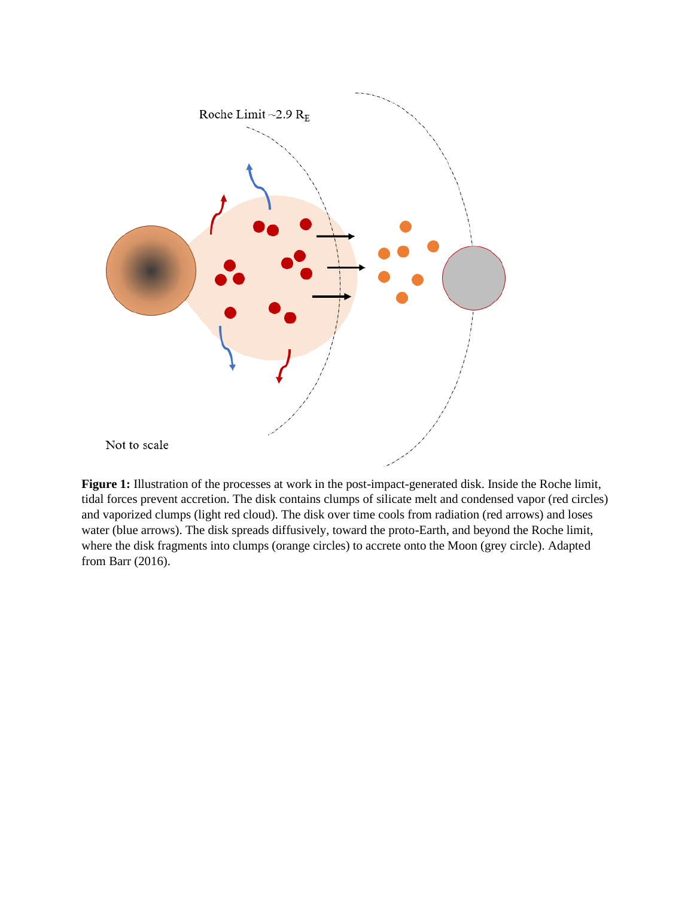

**Figure 1:** Illustration of the processes at work in the post-impact-generated disk. Inside the Roche limit, tidal forces prevent accretion. The disk contains clumps of silicate melt and condensed vapor (red circles) and vaporized clumps (light red cloud). The disk over time cools from radiation (red arrows) and loses water (blue arrows). The disk spreads diffusively, toward the proto-Earth, and beyond the Roche limit, where the disk fragments into clumps (orange circles) to accrete onto the Moon (grey circle). Adapted from Barr (2016).